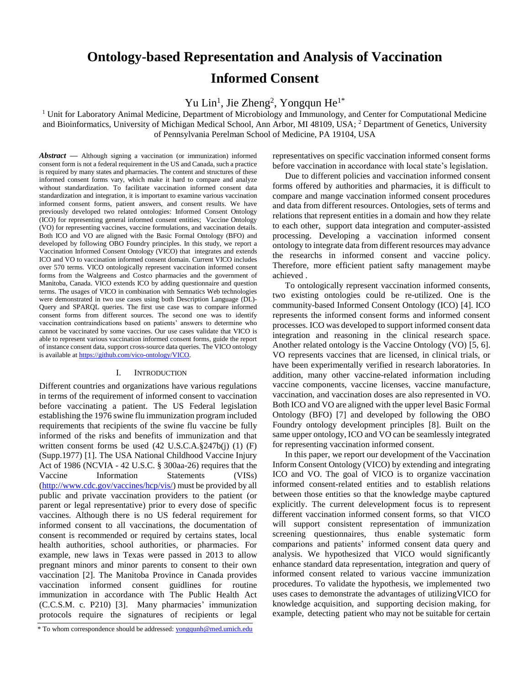# **Ontology-based Representation and Analysis of Vaccination Informed Consent**

Yu Lin<sup>1</sup>, Jie Zheng<sup>2</sup>, Yongqun He<sup>1\*</sup>

<sup>1</sup> Unit for Laboratory Animal Medicine, Department of Microbiology and Immunology, and Center for Computational Medicine and Bioinformatics, University of Michigan Medical School, Ann Arbor, MI 48109, USA; <sup>2</sup> Department of Genetics, University of Pennsylvania Perelman School of Medicine, PA 19104, USA

*Abstract* **—** Although signing a vaccination (or immunization) informed consent form is not a federal requirement in the US and Canada, such a practice is required by many states and pharmacies. The content and structures of these informed consent forms vary, which make it hard to compare and analyze without standardization. To facilitate vaccination informed consent data standardization and integration, it is important to examine various vaccination informed consent forms, patient answers, and consent results. We have previously developed two related ontologies: Informed Consent Ontology (ICO) for representing general informed consent entities; Vaccine Ontology (VO) for representing vaccines, vaccine formulations, and vaccination details. Both ICO and VO are aligned with the Basic Formal Ontology (BFO) and developed by following OBO Foundry principles. In this study, we report a Vaccination Informed Consent Ontology (VICO) that integrates and extends ICO and VO to vaccination informed consent domain. Current VICO includes over 570 terms. VICO ontologically represent vaccination informed consent forms from the Walgreens and Costco pharmacies and the government of Manitoba, Canada. VICO extends ICO by adding questionnaire and question terms. The usages of VICO in combination with Semnatics Web technologies were demonstrated in two use cases using both Description Language (DL)- Query and SPARQL queries. The first use case was to compare informed consent forms from different sources. The second one was to identify vaccination contraindications based on patients' answers to determine who cannot be vaccinated by some vaccines. Our use cases validate that VICO is able to represent various vaccination informed consent forms, guide the report of instance consent data, support cross-source data queries. The VICO ontology is available at [https://github.com/vico-ontology/](https://github.com/vico-ontology)VICO.

# I. INTRODUCTION

Different countries and organizations have various regulations in terms of the requirement of informed consent to vaccination before vaccinating a patient. The US Federal legislation establishing the 1976 swine flu immunization program included requirements that recipients of the swine flu vaccine be fully informed of the risks and benefits of immunization and that written consent forms be used (42 U.S.C.A.§247b(j) (1) (F) (Supp.1977) [\[1\]](#page-5-0). The USA National Childhood Vaccine Injury Act of 1986 (NCVIA - 42 U.S.C. § 300aa-26) requires that the Vaccine Information Statements (VISs) [\(http://www.cdc.gov/vaccines/](http://www.cdc.gov/vaccines)hcp/vis/) must be provided by all public and private vaccination providers to the patient (or parent or legal representative) prior to every dose of specific vaccines. Although there is no US federal requirement for informed consent to all vaccinations, the documentation of consent is recommended or required by certains states, local health authorities, school authorities, or pharmacies. For example, new laws in Texas were passed in 2013 to allow pregnant minors and minor parents to consent to their own vaccination [\[2\]](#page-5-1). The Manitoba Province in Canada provides vaccination informed consent guidlines for routine immunization in accordance with The Public Health Act (C.C.S.M. c. P210) [\[3\]](#page-5-2). Many pharmacies' immunization protocols require the signatures of recipients or legal

representatives on specific vaccination informed consent forms before vaccination in accordance with local state's legislation.

Due to different policies and vaccination informed consent forms offered by authorities and pharmacies, it is difficult to compare and mange vaccination informed consent procedures and data from different resources. Ontologies, sets of terms and relations that represent entities in a domain and how they relate to each other, support data integration and computer-assisted processing. Developing a vaccination informed consent ontology to integrate data from different resources may advance the researchs in informed consent and vaccine policy. Therefore, more efficient patient safty management maybe achieved .

To ontologically represent vaccination informed consents, two existing ontologies could be re-utilized. One is the community-based Informed Consent Ontology (ICO) [\[4\]](#page-5-3). ICO represents the informed consent forms and informed consent processes. ICO was developed to support informed consent data integration and reasoning in the clinical research space. Another related ontology is the Vaccine Ontology (VO) [\[5,](#page-5-4) [6\]](#page-5-5). VO represents vaccines that are licensed, in clinical trials, or have been experimentally verified in research laboratories. In addition, many other vaccine-related information including vaccine components, vaccine licenses, vaccine manufacture, vaccination, and vaccination doses are also represented in VO. Both ICO and VO are aligned with the upper level Basic Formal Ontology (BFO) [\[7\]](#page-5-6) and developed by following the OBO Foundry ontology development principles [\[8\]](#page-5-7). Built on the same upper ontology, ICO and VO can be seamlessly integrated for representing vaccination informed consent.

In this paper, we report our development of the Vaccination Inform Consent Ontology (VICO) by extending and integrating ICO and VO. The goal of VICO is to organize vaccination informed consent-related entities and to establish relations between those entities so that the knowledge maybe captured explicitly. The current delevelopment focus is to represent different vaccination informed consent forms, so that VICO will support consistent representation of immunization screening questionnaires, thus enable systematic form comparions and patients' informed consent data query and analysis. We hypothesized that VICO would significantly enhance standard data representation, integration and query of informed consent related to various vaccine immunization procedures. To validate the hypothesis, we implemented two uses cases to demonstrate the advantages of utilizingVICO for knowledge acquisition, and supporting decision making, for example, detecting patient who may not be suitable for certain

<sup>\*</sup> To whom correspondence should be addressed: [yongqunh@med.umich.edu](mailto:yongqunh@med.umich.edu)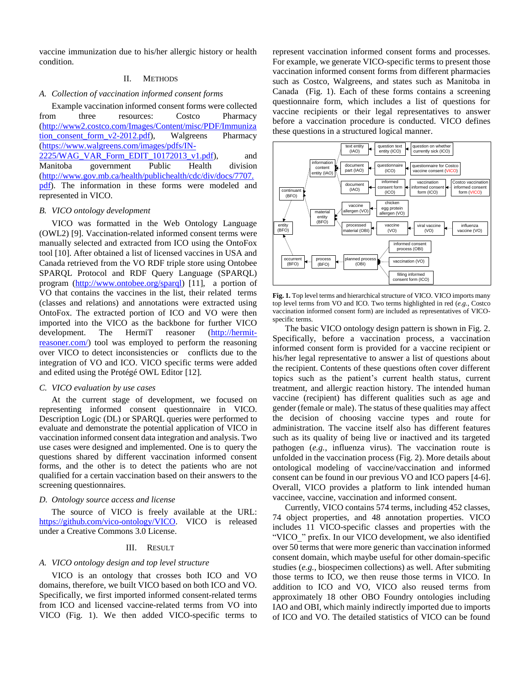vaccine immunization due to his/her allergic history or health condition.

# II. METHODS

# *A. Collection of vaccination informed consent forms*

Example vaccination informed consent forms were collected from three resources: Costco Pharmacy [\(http://www2.costco.com/Images/Content/misc/PDF/Immuniza](http://www2.costco.com/Images/Content/misc/PDF/Immunization_consent_form_v2-2012.pdf) tion consent form v2-2012.pdf), Walgreens Pharmacy [\(https://www.walgreens.com/images/pdfs/IN-](https://www.walgreens.com/images/pdfs/IN-2225/WAG_VAR_Form_EDIT_10172013_v1.pdf) $2225/WAG_VAR_Form_EDIT_10172013_v1.pdf$ , and Manitoba government Public Health division [\(http://www.gov.mb.ca/health/publichealth/cdc/div/docs/7707.](http://www.gov.mb.ca/health/publichealth/cdc/div/docs/7707.pdf) [pdf\)](http://www.gov.mb.ca/health/publichealth/cdc/div/docs/7707.pdf). The information in these forms were modeled and

represented in VICO.

# *B. VICO ontology development*

VICO was formatted in the Web Ontology Language (OWL2) [\[9\]](#page-5-8). Vaccination-related informed consent terms were manually selected and extracted from ICO using the OntoFox tool [\[10\]](#page-5-9). After obtained a list of licensed vaccines in USA and Canada retrieved from the VO RDF triple store using Ontobee SPARQL Protocol and RDF Query Language (SPARQL) program [\(http://www.ontobee.org/sparql\)](http://www.ontobee.org/sparql) [\[11\]](#page-5-10), a portion of VO that contains the vaccines in the list, their related terms (classes and relations) and annotations were extracted using OntoFox. The extracted portion of ICO and VO were then imported into the VICO as the backbone for further VICO development. The HermiT reasoner [\(http://hermit](http://hermit-reasoner.com/)[reasoner.com/\)](http://hermit-reasoner.com/) tool was employed to perform the reasoning over VICO to detect inconsistencies or conflicts due to the integration of VO and ICO. VICO specific terms were added and edited using the Protégé OWL Editor [\[12\]](#page-5-11).

#### *C. VICO evaluation by use cases*

At the current stage of development, we focused on representing informed consent questionnaire in VICO. Description Logic (DL) or SPARQL queries were performed to evaluate and demonstrate the potential application of VICO in vaccination informed consent data integration and analysis. Two use cases were designed and implemented. One is to query the questions shared by different vaccination informed consent forms, and the other is to detect the patients who are not qualified for a certain vaccination based on their answers to the screening questionnaires.

# *D. Ontology source access and license*

The source of VICO is freely available at the URL: [https://github.com/vico-ontology/](https://github.com/vico-ontology)VICO. VICO is released under a Creative Commons 3.0 License.

# III. RESULT

# *A. VICO ontology design and top level structure*

VICO is an ontology that crosses both ICO and VO domains, therefore, we built VICO based on both ICO and VO. Specifically, we first imported informed consent-related terms from ICO and licensed vaccine-related terms from VO into VICO (Fig. 1). We then added VICO-specific terms to represent vaccination informed consent forms and processes. For example, we generate VICO-specific terms to present those vaccination informed consent forms from different pharmacies such as Costco, Walgreens, and states such as Manitoba in Canada (Fig. 1). Each of these forms contains a screening questionnaire form, which includes a list of questions for vaccine recipients or their legal representatives to answer before a vaccination procedure is conducted. VICO defines these questions in a structured logical manner.



**Fig. 1.** Top level terms and hierarchical structure of VICO. VICO imports many top level terms from VO and ICO. Two terms highlighted in red (*e.g.*, Costco vaccination informed consent form) are included as representatives of VICOspecific terms.

The basic VICO ontology design pattern is shown in Fig. 2. Specifically, before a vaccination process, a vaccination informed consent form is provided for a vaccine recipient or his/her legal representative to answer a list of questions about the recipient. Contents of these questions often cover different topics such as the patient's current health status, current treatment, and allergic reaction history. The intended human vaccine (recipient) has different qualities such as age and gender (female or male). The status of these qualities may affect the decision of choosing vaccine types and route for administration. The vaccine itself also has different features such as its quality of being live or inactived and its targeted pathogen (*e.g.*, influenza virus). The vaccination route is unfolded in the vaccination process (Fig. 2). More details about ontological modeling of vaccine/vaccination and informed consent can be found in our previous VO and ICO papers [\[4-6\]](#page-5-3). Overall, VICO provides a platform to link intended human vaccinee, vaccine, vaccination and informed consent.

Currently, VICO contains 574 terms, including 452 classes, 74 object properties, and 48 annotation properties. VICO includes 11 VICO-specific classes and properties with the "VICO\_" prefix. In our VICO development, we also identified over 50 terms that were more generic than vaccination informed consent domain, which maybe useful for other domain-specific studies (*e.g.*, biospecimen collections) as well. After submiting those terms to ICO, we then reuse those terms in VICO. In addition to ICO and VO, VICO also reused terms from approximately 18 other OBO Foundry ontologies including IAO and OBI, which mainly indirectly imported due to imports of ICO and VO. The detailed statistics of VICO can be found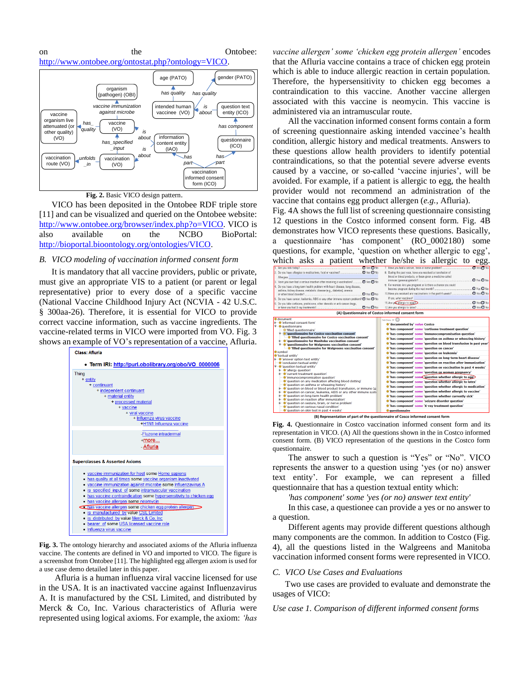



 **Fig. 2.** Basic VICO design pattern.

VICO has been deposited in the Ontobee RDF triple store [\[11\]](#page-5-10) and can be visualized and queried on the Ontobee website: [http://www.ontobee.org/browser/index.php?o=VICO.](http://www.ontobee.org/browser/index.php?o=VICO) VICO is also available on the NCBO BioPortal: [http://bioportal.bioontology.org/ontologies/VICO.](http://bioportal.bioontology.org/ontologies/VICO)

#### *B. VICO modeling of vaccination informed consent form*

It is mandatory that all vaccine providers, public or private, must give an appropriate VIS to a patient (or parent or legal representative) prior to every dose of a specific vaccine (National Vaccine Childhood Injury Act (NCVIA - [42 U.S.C.](http://www.gpo.gov/fdsys/pkg/USCODE-2010-title42/pdf/USCODE-2010-title42-chap6A-subchapXIX-part2-subpartc-sec300aa-26.pdf)  [§ 300aa-26\)](http://www.gpo.gov/fdsys/pkg/USCODE-2010-title42/pdf/USCODE-2010-title42-chap6A-subchapXIX-part2-subpartc-sec300aa-26.pdf). Therefore, it is essential for VICO to provide correct vaccine information, such as vaccine ingredients. The vaccine-related terms in VICO were imported from VO. Fig. 3 shows an example of VO's representation of a vaccine, Afluria.



**Fig. 3.** The ontology hierarchy and associated axioms of the Afluria influenza vaccine. The contents are defined in VO and imported to VICO. The figure is a screenshot from Ontobee [\[11\]](#page-5-10). The highlighted egg allergen axiom is used for a use case demo detailed later in this paper.

Afluria is a human influenza viral vaccine licensed for use in the USA. It is an inactivated vaccine against Influenzavirus A. It is manufactured by the CSL Limited, and distributed by Merck & Co, Inc. Various characteristics of Afluria were represented using logical axioms. For example, the axiom: *'has*  *vaccine allergen' some 'chicken egg protein allergen'* encodes that the Afluria vaccine contains a trace of chicken egg protein which is able to induce allergic reaction in certain population. Therefore, the hypersensitivity to chicken egg becomes a contraindication to this vaccine. Another vaccine allergen associated with this vaccine is neomycin. This vaccine is administered via an intramuscular route.

All the vaccination informed consent forms contain a form of screening questionnaire asking intended vaccinee's health condition, allergic history and medical treatments. Answers to these questions allow health providers to identify potential contraindications, so that the potential severe adverse events caused by a vaccine, or so-called 'vaccine injuries', will be avoided. For example, if a patient is allergic to egg, the health provider would not recommend an administration of the vaccine that contains egg product allergen (*e.g.*, Afluria).

Fig. 4A shows the full list of screening questionnaire consisting 12 questions in the Costco informed consent form. Fig. 4B demonstrates how VICO represents these questions. Basically, a questionnaire 'has component' (RO\_0002180) some questions, for example, 'question on whether allergic to egg', which asks a patient whether he/she is allergic to egg.

|                                                                                                                                        |                  |                                                                   | ັັ                           |
|----------------------------------------------------------------------------------------------------------------------------------------|------------------|-------------------------------------------------------------------|------------------------------|
| 1. Are you sick today?                                                                                                                 |                  | 7. Have you had a seizure, brain or nerve problem?                | <b>O</b> Yes <sup>O</sup> No |
|                                                                                                                                        |                  | 8. During the past year, have you received a transfusion of       |                              |
| Allergies                                                                                                                              |                  | blood or blood products, or been given a medicine called          |                              |
| Have you ever had a serious reaction after receiving a vaccination?                                                                    | O Yes O No       |                                                                   | O Yes O No.                  |
| 4. Do you have a long-term health problem with heart disease, lung disease.                                                            |                  | 9. For women: Are you pregnant or is there a chance you could     |                              |
| asthma, kidney disease, metabolic disease (e.g., diabetes), anemia                                                                     |                  |                                                                   | O Yes O No.                  |
|                                                                                                                                        | O Yes O No       | 10. Have you received any vaccinations in the past 4 weeks?       | <b>O</b> Yes O No            |
| Do you have cancer, leukemia, AIDS or any other immune system problem? O Yes O No<br>5.                                                |                  | If yes, what vaccines?                                            |                              |
| 6. Do you take cortisone, prednisone, other steroids or anti-cancer drugs,                                                             |                  | 11. Are you allergic to eggs?                                     | $O$ Yes $O$ No               |
| or have you had X-ray treatments?                                                                                                      | <b>D</b> Yes ONo |                                                                   | $O$ Yes $O$ No               |
|                                                                                                                                        |                  | (A) Questionnaire of Costco informed consent form                 |                              |
| document                                                                                                                               |                  | SubClass Of                                                       |                              |
| i- C'informed consent form'                                                                                                            |                  | <b>C</b> 'documented by' value Costco                             |                              |
| ▼ Questionnaire<br>- @ 'filled questionnaire'                                                                                          |                  | Thas component' some 'cortisone treatment question'               |                              |
| ▼ Cruestionnaire for Costco vaccination consent                                                                                        |                  | 'has component' some 'immunocompromisation question'              |                              |
| - C'filled questionnaire for Costco vaccination consent'                                                                               |                  | 'has component' some 'question on asthma or wheezing history'     |                              |
| le C'auestionnaire for Manitoba vaccination consent'                                                                                   |                  |                                                                   |                              |
| ▼ ● 'questionnaire for Walgreens vaccination consent'                                                                                  |                  | 'has component' some 'question on blood transfusion in past year' |                              |
| - Ifilled questionnaire for Walgreens vaccination consent<br>$\bullet$ symbol                                                          |                  | . Thas component' some 'question on cancer'                       |                              |
| <b>C</b> 'textual entity'                                                                                                              |                  | 'has component' some 'question on leukemia'                       |                              |
| i Canswer option text entity'                                                                                                          |                  | 'has component' some 'question on long-term heart disease'        |                              |
| conclusion textual entity                                                                                                              |                  | 'has component' some 'question on reaction after immunization'    |                              |
| ▼ · ● 'question textual entity'<br>li- allergy question'                                                                               |                  | 'has component' some 'question on vaccination in past 4 weeks'    |                              |
| Current treatment question'                                                                                                            |                  | 'has component' some 'question on woman pregnancy'                |                              |
| . "immunocompromisation question"                                                                                                      |                  | 'has component' som Cquestion whether allergic to equ             |                              |
| complete "question on any medication affecting blood clotting"                                                                         |                  | 'has component' some 'question whether allergic to latex'         |                              |
| - O'question on asthma or wheezing history'                                                                                            |                  | Thas component' some 'question whether allergic to medication'    |                              |
| le l'auestion on blood or blood product transfusion, or immune (q.<br>le Cauestion on cancer, leukemia, AIDS or any other immune syste |                  | 'has component' some 'question whether allergic to vaccine'       |                              |
| i Cauestion on long-term health problem'                                                                                               |                  | . Thas component' some 'question whether currently sick'          |                              |
| $\blacktriangleright$ $\blacksquare$ question on reaction after immunization                                                           |                  | 'has component' some 'seizure disorder question'                  |                              |
| le l'question on seizure, brain, or nerve problem'                                                                                     |                  | 'has component' some 'X-ray treatment question'                   |                              |
| - Cauestion on serious nasal condition'                                                                                                |                  |                                                                   |                              |
| lauestion on skin test in past 4 weeks'                                                                                                |                  | <b>C</b> questionnaire                                            |                              |

**Fig. 4.** Questionnaire in Costco vaccination informed consent form and its representation in VICO. (A) All the questions shown in the in Costco informed consent form. (B) VICO representation of the questions in the Costco form

questionnaire. The answer to such a question is "Yes" or "No". VICO represents the answer to a question using 'yes (or no) answer text entity'. For example, we can represent a filled questionnaire that has a question textual entity which:

*'has component' some 'yes (or no) answer text entity'*

In this case, a questionee can provide a yes or no answer to a question.

Different agents may provide different questions although many components are the common. In addition to Costco (Fig. 4), all the questions listed in the Walgreens and Manitoba vaccination informed consent forms were represented in VICO.

# *C. VICO Use Cases and Evaluations*

Two use cases are provided to evaluate and demonstrate the usages of VICO:

*Use case 1. Comparison of different informed consent forms*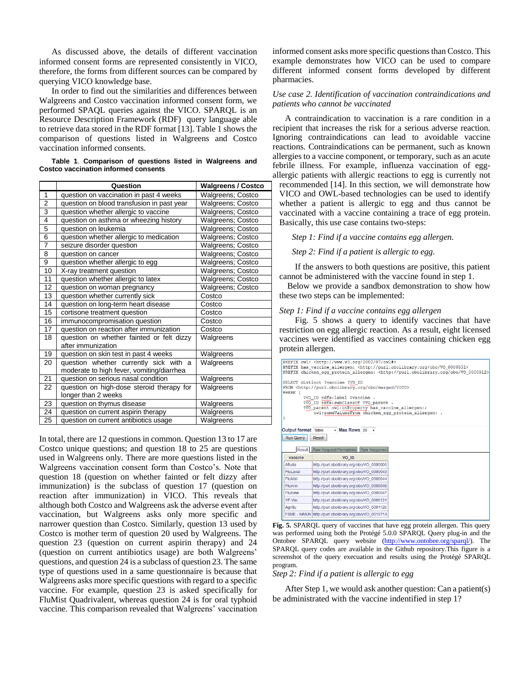As discussed above, the details of different vaccination informed consent forms are represented consistently in VICO, therefore, the forms from different sources can be compared by querying VICO knowledge base.

In order to find out the similarities and differences between Walgreens and Costco vaccination informed consent form, we performed SPAQL queries against the VICO. SPARQL is an Resource Description Framework (RDF) query language able to retrieve data stored in the RDF format [\[13\]](#page-5-12). Table 1 shows the comparison of questions listed in Walgreens and Costco vaccination informed consents.

**Table 1**. **Comparison of questions listed in Walgreens and Costco vaccination informed consents**

|                 | Question                                                        | <b>Walgreens / Costco</b> |
|-----------------|-----------------------------------------------------------------|---------------------------|
| $\mathbf{1}$    | question on vaccination in past 4 weeks                         | Walgreens; Costco         |
| $\overline{2}$  | question on blood transfusion in past year                      | Walgreens; Costco         |
| 3               | question whether allergic to vaccine                            | Walgreens; Costco         |
| 4               | question on asthma or wheezing history                          | <b>Walgreens; Costco</b>  |
| 5               | question on leukemia                                            | Walgreens; Costco         |
| $\overline{6}$  | question whether allergic to medication                         | Walgreens; Costco         |
| 7               | seizure disorder question                                       | Walgreens; Costco         |
| 8               | question on cancer                                              | <b>Walgreens; Costco</b>  |
| 9               | question whether allergic to egg                                | Walgreens; Costco         |
| $\overline{10}$ | X-ray treatment question                                        | Walgreens; Costco         |
| 11              | question whether allergic to latex                              | Walgreens; Costco         |
| 12              | question on woman pregnancy                                     | Walgreens; Costco         |
| 13              | question whether currently sick                                 | Costco                    |
| 14              | question on long-term heart disease                             | Costco                    |
| 15              | cortisone treatment question                                    | Costco                    |
| 16              | immunocompromisation question                                   | Costco                    |
| 17              | question on reaction after immunization                         | Costco                    |
| 18              | question on whether fainted or felt dizzy<br>after immunization | Walgreens                 |
| 19              | question on skin test in past 4 weeks                           | Walgreens                 |
| 20              | question whether currently sick with a                          | Walgreens                 |
|                 | moderate to high fever, vomiting/diarrhea                       |                           |
| 21              | question on serious nasal condition                             | Walgreens                 |
| 22              | question on high-dose steroid therapy for                       | Walgreens                 |
|                 | longer than 2 weeks                                             |                           |
| 23              | question on thymus disease                                      | Walgreens                 |
| 24              | question on current aspirin therapy                             | Walgreens                 |
| 25              | question on current antibiotics usage                           | Walgreens                 |

In total, there are 12 questions in common. Question 13 to 17 are Costco unique questions; and question 18 to 25 are questions used in Walgreens only. There are more questions listed in the Walgreens vaccination consent form than Costco's. Note that question 18 (question on whether fainted or felt dizzy after immunization) is the subclass of question 17 (question on reaction after immunization) in VICO. This reveals that although both Costco and Walgreens ask the adverse event after vaccination, but Walgreens asks only more specific and narrower question than Costco. Similarly, question 13 used by Costco is mother term of question 20 used by Walgreens. The question 23 (question on current aspirin therapy) and 24 (question on current antibiotics usage) are both Walgreens' questions, and question 24 is a subclass of question 23. The same type of questions used in a same questionnaire is because that Walgreens asks more specific questions with regard to a specific vaccine. For example, question 23 is asked specifically for FluMist Quadrivalent, whereas question 24 is for oral typhoid vaccine. This comparison revealed that Walgreens' vaccination

informed consent asks more specific questions than Costco. This example demonstrates how VICO can be used to compare different informed consent forms developed by different pharmacies.

# *Use case 2. Identification of vaccination contraindications and patients who cannot be vaccinated*

A contraindication to vaccination is a rare condition in a recipient that increases the risk for a serious adverse reaction. Ignoring contraindications can lead to avoidable vaccine reactions. Contraindications can be permanent, such as known allergies to a vaccine component, or temporary, such as an acute febrile illness. For example, influenza vaccination of eggallergic patients with allergic reactions to egg is currently not

recommended [\[14\]](#page-5-13). In this section, we will demonstrate how VICO and OWL-based technologies can be used to identify whether a patient is allergic to egg and thus cannot be vaccinated with a vaccine containing a trace of egg protein. Basically, this use case contains two-steps:

*Step 1: Find if a vaccine contains egg allergen.* 

*Step 2: Find if a patient is allergic to egg.* 

If the answers to both questions are positive, this patient cannot be administered with the vaccine found in step 1.

Below we provide a sandbox demonstration to show how these two steps can be implemented:

# *Step 1: Find if a vaccine contains egg allergen*

Fig. 5 shows a query to identify vaccines that have restriction on egg allergic reaction. As a result, eight licensed vaccines were identified as vaccines containing chicken egg protein allergen.

|                            | PREFIX owl: < http://www.w3.org/2002/07/owl#>                                                                                                                                                                                                                                                 |                                                                                             |
|----------------------------|-----------------------------------------------------------------------------------------------------------------------------------------------------------------------------------------------------------------------------------------------------------------------------------------------|---------------------------------------------------------------------------------------------|
|                            |                                                                                                                                                                                                                                                                                               | PREFIX has vaccine allergen: <http: 0000531="" obo="" purl.obolibrary.org="" vo=""></http:> |
|                            |                                                                                                                                                                                                                                                                                               | PREFIX chicken egg protein allergen: < http://purl.obolibrary.org/obo/V0 0000912>           |
| WHERE {<br>ı               | SELECT distinct ?vaccine ?VO ID<br>FROM <http: merged="" obo="" purl.obolibrary.org="" vico=""><br/>?VO ID rdfs:label ?vaccine .<br/>?VO ID rdfs:subClassOf ?VO parent.<br/>?VO parent owl: onProperty has vaccine allergen: ;<br/>owl:someValuesFrom chicken_egg_protein_allergen: .</http:> |                                                                                             |
| Output format Table        | $-Max$ Rows 20 $-$                                                                                                                                                                                                                                                                            |                                                                                             |
| Run Query<br><b>Result</b> | Reset<br>Raw Request/Permalinks Raw Response                                                                                                                                                                                                                                                  |                                                                                             |
| vaccine                    | VO <sub>ID</sub>                                                                                                                                                                                                                                                                              |                                                                                             |
| Afluria                    | http://purl.obolibrary.org/obo/VO 0000006                                                                                                                                                                                                                                                     |                                                                                             |
| Flul aval                  | http://purl.obolibrary.org/obo/VO 0000043                                                                                                                                                                                                                                                     |                                                                                             |
| FluMist                    | http://purl.obolibrary.org/obo/VO 0000044                                                                                                                                                                                                                                                     |                                                                                             |
| <b>Fluvirin</b>            | http://purl.obolibrary.org/obo/VO 0000046                                                                                                                                                                                                                                                     |                                                                                             |
| Fluzone                    | http://purl.obolibrary.org/obo/VO 0000047                                                                                                                                                                                                                                                     |                                                                                             |
| YF-Vax                     | http://purl.obolibrary.org/obo/VO 0000121                                                                                                                                                                                                                                                     |                                                                                             |
| Aariflu                    | http://purl.obolibrary.org/obo/VO 0001126                                                                                                                                                                                                                                                     |                                                                                             |

**Fig. 5.** SPARQL query of vaccines that have egg protein allergen. This query was performed using both the Protégé 5.0.0 SPARQL Query plug-in and the Ontobee SPARQL query website [\(http://www.ontobee.org/sparql/\)](http://www.ontobee.org/sparql/). The SPARQL query codes are available in the Github repository.This figure is a screenshot of the query execuation and results using the Protégé SPARQL program.

# *Step 2: Find if a patient is allergic to egg*

After Step 1, we would ask another question: Can a patient(s) be administrated with the vaccine indentified in step 1?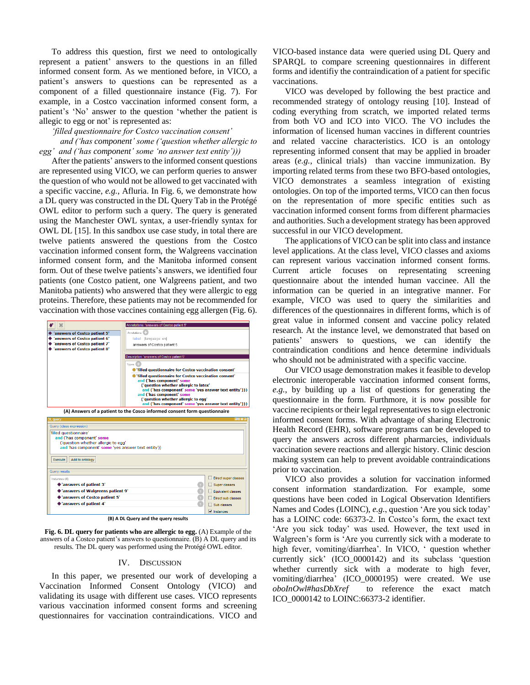To address this question, first we need to ontologically represent a patient' answers to the questions in an filled informed consent form. As we mentioned before, in VICO, a patient's answers to questions can be represented as a component of a filled questionnaire instance (Fig. 7). For example, in a Costco vaccination informed consent form, a patient's 'No' answer to the question 'whether the patient is allegic to egg or not' is represented as:

#### *'filled questionnaire for Costco vaccination consent'*

 *and ('has component' some ('question whether allergic to egg' and ('has component' some 'no answer text entity')))*

After the patients' answers to the informed consent questions are represented using VICO, we can perform queries to answer the question of who would not be allowed to get vaccinated with a specific vaccine, *e.g.*, Afluria. In Fig. 6, we demonstrate how a DL query was constructed in the DL Query Tab in the Protégé OWL editor to perform such a query. The query is generated using the Manchester OWL syntax, a user-friendly syntax for OWL DL [\[15\]](#page-5-14). In this sandbox use case study, in total there are twelve patients answered the questions from the Costco vaccination informed consent form, the Walgreens vaccination informed consent form, and the Manitoba informed consent form. Out of these twelve patients's answers, we identified four patients (one Costco patient, one Walgreens patient, and two Manitoba patients) who answered that they were allergic to egg proteins. Therefore, these patients may not be recommended for vaccination with those vaccines containing egg allergen (Fig. 6).





#### IV. DISCUSSION

In this paper, we presented our work of developing a Vaccination Informed Consent Ontology (VICO) and validating its usage with different use cases. VICO represents various vaccination informed consent forms and screening questionnaires for vaccination contraindications. VICO and VICO-based instance data were queried using DL Query and SPARQL to compare screening questionnaires in different forms and identifiy the contraindication of a patient for specific vaccinations.

VICO was developed by following the best practice and recommended strategy of ontology reusing [\[10\]](#page-5-9). Instead of coding everything from scratch, we imported related terms from both VO and ICO into VICO. The VO includes the information of licensed human vaccines in different countries and related vaccine characteristics. ICO is an ontology representing informed consent that may be applied in broader areas (*e.g.*, clinical trials) than vaccine immunization. By importing related terms from these two BFO-based ontologies, VICO demonstrates a seamless integration of existing ontologies. On top of the imported terms, VICO can then focus on the representation of more specific entities such as vaccination informed consent forms from different pharmacies and authorities. Such a development strategy has been approved successful in our VICO development.

The applications of VICO can be split into class and instance level applications. At the class level, VICO classes and axioms can represent various vaccination informed consent forms. Current article focuses on representating screening questionnaire about the intended human vaccinee. All the information can be queried in an integrative manner. For example, VICO was used to query the similarities and differences of the questionnaires in different forms, which is of great value in informed consent and vaccine policy related research. At the instance level, we demonstrated that based on patients' answers to questions, we can identify the contraindication conditions and hence determine individuals who should not be administrated with a specific vaccine.

Our VICO usage demonstration makes it feasible to develop electronic interoperable vaccination informed consent forms, *e.g.*, by building up a list of questions for generating the questionnaire in the form. Furthmore, it is now possible for vaccine recipients or their legal representatives to sign electronic informed consent forms. With advantage of sharing Electronic Health Record (EHR), software programs can be developed to query the answers across different pharmarcies, individuals vaccination severe reactions and allergic history. Clinic descion making system can help to prevent avoidable contraindications prior to vaccination.

VICO also provides a solution for vaccination informed consent information standardization. For example, some questions have been coded in Logical Observation Identifiers Names and Codes (LOINC), *e.g.*, question 'Are you sick today' has a LOINC code: 66373-2. In Costco's form, the exact text 'Are you sick today' was used. However, the text used in Walgreen's form is 'Are you currently sick with a moderate to high fever, vomiting/diarrhea'. In VICO, ' question whether currently sick' (ICO\_0000142) and its subclass 'question whether currently sick with a moderate to high fever, vomiting/diarrhea' (ICO\_0000195) were created. We use *oboInOwl#hasDbXref* to reference the exact match ICO\_0000142 to LOINC:66373-2 identifier.